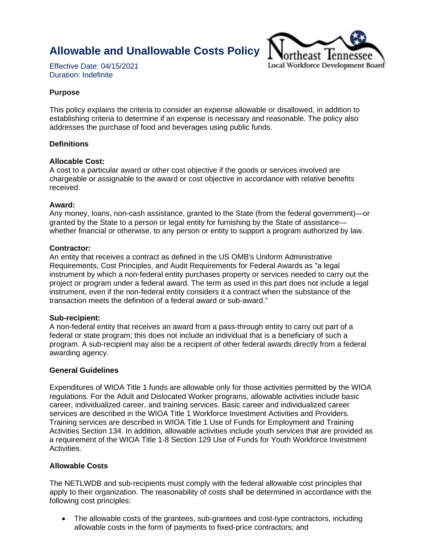**Allowable and Unallowable Costs Policy**



Effective Date: 04/15/2021 Duration: Indefinite

## **Purpose**

This policy explains the criteria to consider an expense allowable or disallowed, in addition to establishing criteria to determine if an expense is necessary and reasonable. The policy also addresses the purchase of food and beverages using public funds.

### **Definitions**

#### **Allocable Cost:**

A cost to a particular award or other cost objective if the goods or services involved are chargeable or assignable to the award or cost objective in accordance with relative benefits received.

#### **Award:**

Any money, loans, non-cash assistance, granted to the State (from the federal government)—or granted by the State to a person or legal entity for furnishing by the State of assistance whether financial or otherwise, to any person or entity to support a program authorized by law.

#### **Contractor:**

An entity that receives a contract as defined in the US OMB's Uniform Administrative Requirements, Cost Principles, and Audit Requirements for Federal Awards as "a legal instrument by which a non-federal entity purchases property or services needed to carry out the project or program under a federal award. The term as used in this part does not include a legal instrument, even if the non-federal entity considers it a contract when the substance of the transaction meets the definition of a federal award or sub-award."

#### **Sub-recipient:**

A non-federal entity that receives an award from a pass-through entity to carry out part of a federal or state program; this does not include an individual that is a beneficiary of such a program. A sub-recipient may also be a recipient of other federal awards directly from a federal awarding agency.

#### **General Guidelines**

Expenditures of WIOA Title 1 funds are allowable only for those activities permitted by the WIOA regulations. For the Adult and Dislocated Worker programs, allowable activities include basic career, individualized career, and training services. Basic career and individualized career services are described in the WIOA Title 1 Workforce Investment Activities and Providers. Training services are described in WIOA Title 1 Use of Funds for Employment and Training Activities Section 134. In addition, allowable activities include youth services that are provided as a requirement of the WIOA Title 1-8 Section 129 Use of Funds for Youth Workforce Investment Activities.

## **Allowable Costs**

The NETLWDB and sub-recipients must comply with the federal allowable cost principles that apply to their organization. The reasonability of costs shall be determined in accordance with the following cost principles:

• The allowable costs of the grantees, sub-grantees and cost-type contractors, including allowable costs in the form of payments to fixed-price contractors; and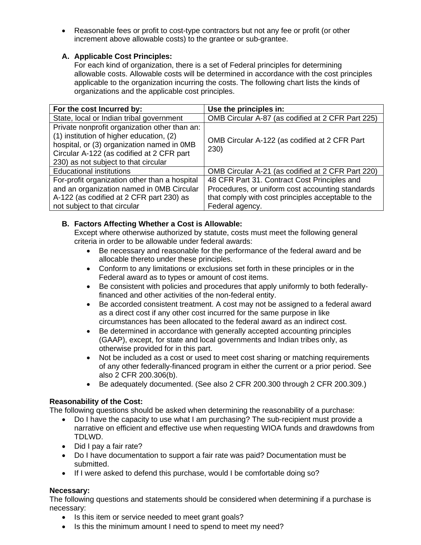• Reasonable fees or profit to cost-type contractors but not any fee or profit (or other increment above allowable costs) to the grantee or sub-grantee.

# **A. Applicable Cost Principles:**

For each kind of organization, there is a set of Federal principles for determining allowable costs. Allowable costs will be determined in accordance with the cost principles applicable to the organization incurring the costs. The following chart lists the kinds of organizations and the applicable cost principles.

| For the cost Incurred by:                     | Use the principles in:                             |
|-----------------------------------------------|----------------------------------------------------|
| State, local or Indian tribal government      | OMB Circular A-87 (as codified at 2 CFR Part 225)  |
| Private nonprofit organization other than an: |                                                    |
| (1) institution of higher education, (2)      | OMB Circular A-122 (as codified at 2 CFR Part      |
| hospital, or (3) organization named in OMB    | 230)                                               |
| Circular A-122 (as codified at 2 CFR part     |                                                    |
| 230) as not subject to that circular          |                                                    |
| <b>Educational institutions</b>               | OMB Circular A-21 (as codified at 2 CFR Part 220)  |
| For-profit organization other than a hospital | 48 CFR Part 31. Contract Cost Principles and       |
| and an organization named in OMB Circular     | Procedures, or uniform cost accounting standards   |
| A-122 (as codified at 2 CFR part 230) as      | that comply with cost principles acceptable to the |
| not subject to that circular                  | Federal agency.                                    |

# **B. Factors Affecting Whether a Cost is Allowable:**

Except where otherwise authorized by statute, costs must meet the following general criteria in order to be allowable under federal awards:

- Be necessary and reasonable for the performance of the federal award and be allocable thereto under these principles.
- Conform to any limitations or exclusions set forth in these principles or in the Federal award as to types or amount of cost items.
- Be consistent with policies and procedures that apply uniformly to both federallyfinanced and other activities of the non-federal entity.
- Be accorded consistent treatment. A cost may not be assigned to a federal award as a direct cost if any other cost incurred for the same purpose in like circumstances has been allocated to the federal award as an indirect cost.
- Be determined in accordance with generally accepted accounting principles (GAAP), except, for state and local governments and Indian tribes only, as otherwise provided for in this part.
- Not be included as a cost or used to meet cost sharing or matching requirements of any other federally-financed program in either the current or a prior period. See also 2 CFR 200.306(b).
- Be adequately documented. (See also 2 CFR 200.300 through 2 CFR 200.309.)

# **Reasonability of the Cost:**

The following questions should be asked when determining the reasonability of a purchase:

- Do I have the capacity to use what I am purchasing? The sub-recipient must provide a narrative on efficient and effective use when requesting WIOA funds and drawdowns from TDLWD.
- Did I pay a fair rate?
- Do I have documentation to support a fair rate was paid? Documentation must be submitted.
- If I were asked to defend this purchase, would I be comfortable doing so?

# **Necessary:**

The following questions and statements should be considered when determining if a purchase is necessary:

- Is this item or service needed to meet grant goals?
- Is this the minimum amount I need to spend to meet my need?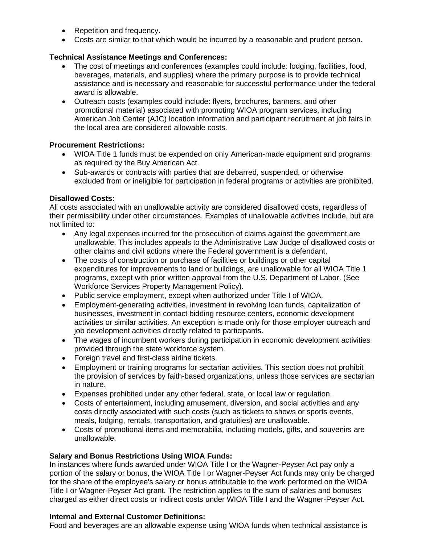- Repetition and frequency.
- Costs are similar to that which would be incurred by a reasonable and prudent person.

## **Technical Assistance Meetings and Conferences:**

- The cost of meetings and conferences (examples could include: lodging, facilities, food, beverages, materials, and supplies) where the primary purpose is to provide technical assistance and is necessary and reasonable for successful performance under the federal award is allowable.
- Outreach costs (examples could include: flyers, brochures, banners, and other promotional material) associated with promoting WIOA program services, including American Job Center (AJC) location information and participant recruitment at job fairs in the local area are considered allowable costs.

### **Procurement Restrictions:**

- WIOA Title 1 funds must be expended on only American-made equipment and programs as required by the Buy American Act.
- Sub-awards or contracts with parties that are debarred, suspended, or otherwise excluded from or ineligible for participation in federal programs or activities are prohibited.

### **Disallowed Costs:**

All costs associated with an unallowable activity are considered disallowed costs, regardless of their permissibility under other circumstances. Examples of unallowable activities include, but are not limited to:

- Any legal expenses incurred for the prosecution of claims against the government are unallowable. This includes appeals to the Administrative Law Judge of disallowed costs or other claims and civil actions where the Federal government is a defendant.
- The costs of construction or purchase of facilities or buildings or other capital expenditures for improvements to land or buildings, are unallowable for all WIOA Title 1 programs, except with prior written approval from the U.S. Department of Labor. (See Workforce Services Property Management Policy).
- Public service employment, except when authorized under Title I of WIOA.
- Employment-generating activities, investment in revolving loan funds, capitalization of businesses, investment in contact bidding resource centers, economic development activities or similar activities. An exception is made only for those employer outreach and job development activities directly related to participants.
- The wages of incumbent workers during participation in economic development activities provided through the state workforce system.
- Foreign travel and first-class airline tickets.
- Employment or training programs for sectarian activities. This section does not prohibit the provision of services by faith-based organizations, unless those services are sectarian in nature.
- Expenses prohibited under any other federal, state, or local law or regulation.
- Costs of entertainment, including amusement, diversion, and social activities and any costs directly associated with such costs (such as tickets to shows or sports events, meals, lodging, rentals, transportation, and gratuities) are unallowable.
- Costs of promotional items and memorabilia, including models, gifts, and souvenirs are unallowable.

### **Salary and Bonus Restrictions Using WIOA Funds:**

In instances where funds awarded under WIOA Title I or the Wagner-Peyser Act pay only a portion of the salary or bonus, the WIOA Title I or Wagner-Peyser Act funds may only be charged for the share of the employee's salary or bonus attributable to the work performed on the WIOA Title I or Wagner-Peyser Act grant. The restriction applies to the sum of salaries and bonuses charged as either direct costs or indirect costs under WIOA Title I and the Wagner-Peyser Act.

#### **Internal and External Customer Definitions:**

Food and beverages are an allowable expense using WIOA funds when technical assistance is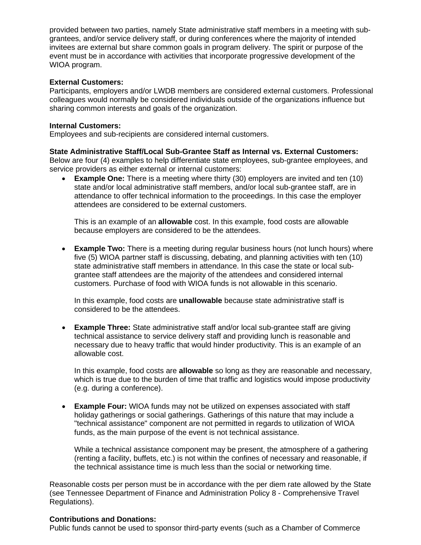provided between two parties, namely State administrative staff members in a meeting with subgrantees, and/or service delivery staff, or during conferences where the majority of intended invitees are external but share common goals in program delivery. The spirit or purpose of the event must be in accordance with activities that incorporate progressive development of the WIOA program.

#### **External Customers:**

Participants, employers and/or LWDB members are considered external customers. Professional colleagues would normally be considered individuals outside of the organizations influence but sharing common interests and goals of the organization.

#### **Internal Customers:**

Employees and sub-recipients are considered internal customers.

## **State Administrative Staff/Local Sub-Grantee Staff as Internal vs. External Customers:**

Below are four (4) examples to help differentiate state employees, sub-grantee employees, and service providers as either external or internal customers:

**Example One:** There is a meeting where thirty (30) employers are invited and ten (10) state and/or local administrative staff members, and/or local sub-grantee staff, are in attendance to offer technical information to the proceedings. In this case the employer attendees are considered to be external customers.

This is an example of an **allowable** cost. In this example, food costs are allowable because employers are considered to be the attendees.

• **Example Two:** There is a meeting during regular business hours (not lunch hours) where five (5) WIOA partner staff is discussing, debating, and planning activities with ten (10) state administrative staff members in attendance. In this case the state or local subgrantee staff attendees are the majority of the attendees and considered internal customers. Purchase of food with WIOA funds is not allowable in this scenario.

In this example, food costs are **unallowable** because state administrative staff is considered to be the attendees.

• **Example Three:** State administrative staff and/or local sub-grantee staff are giving technical assistance to service delivery staff and providing lunch is reasonable and necessary due to heavy traffic that would hinder productivity. This is an example of an allowable cost.

In this example, food costs are **allowable** so long as they are reasonable and necessary, which is true due to the burden of time that traffic and logistics would impose productivity (e.g. during a conference).

• **Example Four:** WIOA funds may not be utilized on expenses associated with staff holiday gatherings or social gatherings. Gatherings of this nature that may include a "technical assistance" component are not permitted in regards to utilization of WIOA funds, as the main purpose of the event is not technical assistance.

While a technical assistance component may be present, the atmosphere of a gathering (renting a facility, buffets, etc.) is not within the confines of necessary and reasonable, if the technical assistance time is much less than the social or networking time.

Reasonable costs per person must be in accordance with the per diem rate allowed by the State (see Tennessee Department of Finance and Administration Policy 8 - Comprehensive Travel Regulations).

#### **Contributions and Donations:**

Public funds cannot be used to sponsor third-party events (such as a Chamber of Commerce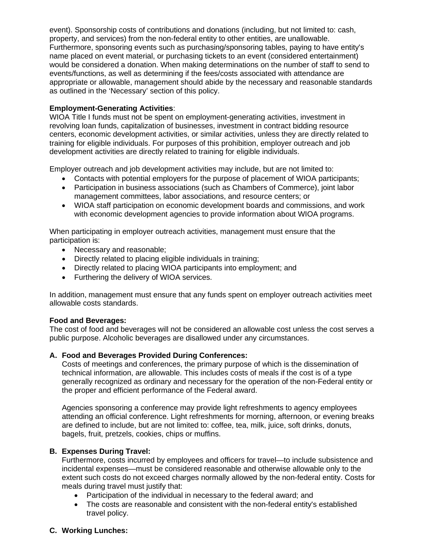event). Sponsorship costs of contributions and donations (including, but not limited to: cash, property, and services) from the non-federal entity to other entities, are unallowable. Furthermore, sponsoring events such as purchasing/sponsoring tables, paying to have entity's name placed on event material, or purchasing tickets to an event (considered entertainment) would be considered a donation. When making determinations on the number of staff to send to events/functions, as well as determining if the fees/costs associated with attendance are appropriate or allowable, management should abide by the necessary and reasonable standards as outlined in the 'Necessary' section of this policy.

## **Employment-Generating Activities**:

WIOA Title I funds must not be spent on employment-generating activities, investment in revolving loan funds, capitalization of businesses, investment in contract bidding resource centers, economic development activities, or similar activities, unless they are directly related to training for eligible individuals. For purposes of this prohibition, employer outreach and job development activities are directly related to training for eligible individuals.

Employer outreach and job development activities may include, but are not limited to:

- Contacts with potential employers for the purpose of placement of WIOA participants;
- Participation in business associations (such as Chambers of Commerce), joint labor management committees, labor associations, and resource centers; or
- WIOA staff participation on economic development boards and commissions, and work with economic development agencies to provide information about WIOA programs.

When participating in employer outreach activities, management must ensure that the participation is:

- Necessary and reasonable;
- Directly related to placing eligible individuals in training;
- Directly related to placing WIOA participants into employment; and
- Furthering the delivery of WIOA services.

In addition, management must ensure that any funds spent on employer outreach activities meet allowable costs standards.

### **Food and Beverages:**

The cost of food and beverages will not be considered an allowable cost unless the cost serves a public purpose. Alcoholic beverages are disallowed under any circumstances.

# **A. Food and Beverages Provided During Conferences:**

Costs of meetings and conferences, the primary purpose of which is the dissemination of technical information, are allowable. This includes costs of meals if the cost is of a type generally recognized as ordinary and necessary for the operation of the non-Federal entity or the proper and efficient performance of the Federal award.

Agencies sponsoring a conference may provide light refreshments to agency employees attending an official conference. Light refreshments for morning, afternoon, or evening breaks are defined to include, but are not limited to: coffee, tea, milk, juice, soft drinks, donuts, bagels, fruit, pretzels, cookies, chips or muffins.

# **B. Expenses During Travel:**

Furthermore, costs incurred by employees and officers for travel—to include subsistence and incidental expenses—must be considered reasonable and otherwise allowable only to the extent such costs do not exceed charges normally allowed by the non-federal entity. Costs for meals during travel must justify that:

- Participation of the individual in necessary to the federal award; and
- The costs are reasonable and consistent with the non-federal entity's established travel policy.

# **C. Working Lunches:**